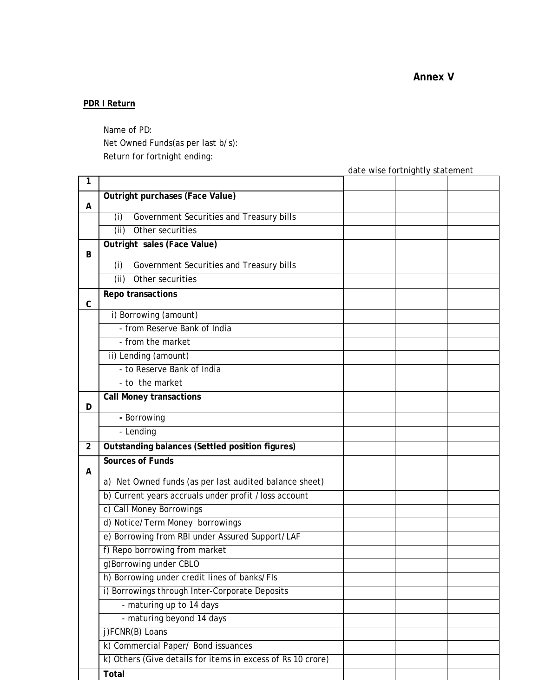**Annex V** 

## **PDR I Return**

Name of PD: Net Owned Funds(as per last b/s): Return for fortnight ending:

date wise fortnightly statement

| 1              |                                                             |  |  |
|----------------|-------------------------------------------------------------|--|--|
| A              | Outright purchases (Face Value)                             |  |  |
|                | Government Securities and Treasury bills<br>(i)             |  |  |
|                | (iii)<br>Other securities                                   |  |  |
|                | Outright sales (Face Value)                                 |  |  |
| В              |                                                             |  |  |
|                | Government Securities and Treasury bills<br>(i)             |  |  |
|                | (ii)<br>Other securities                                    |  |  |
| C              | Repo transactions                                           |  |  |
|                | i) Borrowing (amount)                                       |  |  |
|                | - from Reserve Bank of India                                |  |  |
|                | - from the market                                           |  |  |
|                | ii) Lending (amount)                                        |  |  |
|                | - to Reserve Bank of India                                  |  |  |
|                | - to the market                                             |  |  |
| D              | <b>Call Money transactions</b>                              |  |  |
|                | - Borrowing                                                 |  |  |
|                | - Lending                                                   |  |  |
| $\overline{2}$ | Outstanding balances (Settled position figures)             |  |  |
|                | Sources of Funds                                            |  |  |
| A              |                                                             |  |  |
|                | a) Net Owned funds (as per last audited balance sheet)      |  |  |
|                | b) Current years accruals under profit /loss account        |  |  |
|                | c) Call Money Borrowings                                    |  |  |
|                | d) Notice/Term Money borrowings                             |  |  |
|                | e) Borrowing from RBI under Assured Support/LAF             |  |  |
|                | f) Repo borrowing from market                               |  |  |
|                | g)Borrowing under CBLO                                      |  |  |
|                | h) Borrowing under credit lines of banks/FIs                |  |  |
|                | i) Borrowings through Inter-Corporate Deposits              |  |  |
|                | - maturing up to 14 days                                    |  |  |
|                | - maturing beyond 14 days                                   |  |  |
|                | j)FCNR(B) Loans                                             |  |  |
|                | k) Commercial Paper/ Bond issuances                         |  |  |
|                | k) Others (Give details for items in excess of Rs 10 crore) |  |  |
|                | Total                                                       |  |  |